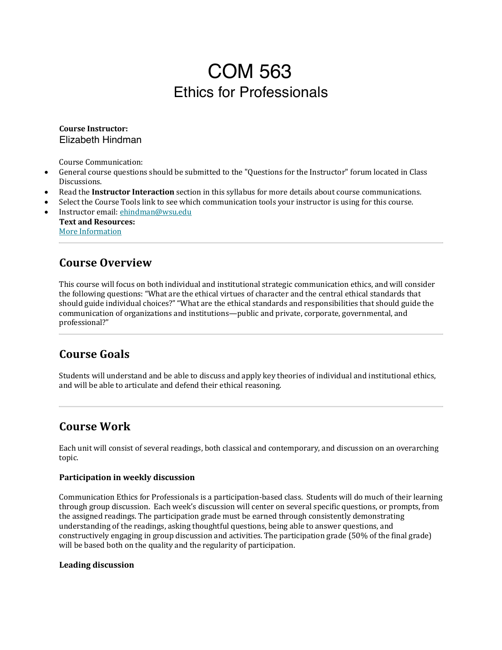# COM 563 Ethics for Professionals

#### **Course Instructor:** Elizabeth Hindman

Course Communication:

- General course questions should be submitted to the "Questions for the Instructor" forum located in Class Discussions.
- Read the **Instructor Interaction** section in this syllabus for more details about course communications.
- Select the Course Tools link to see which communication tools your instructor is using for this course.
- Instructor email: ehindman@wsu.edu **Text and Resources:** More Information

#### **Course Overview**

This course will focus on both individual and institutional strategic communication ethics, and will consider the following questions: "What are the ethical virtues of character and the central ethical standards that should guide individual choices?" "What are the ethical standards and responsibilities that should guide the communication of organizations and institutions—public and private, corporate, governmental, and professional?"

### **Course Goals**

Students will understand and be able to discuss and apply key theories of individual and institutional ethics, and will be able to articulate and defend their ethical reasoning.

### **Course Work**

Each unit will consist of several readings, both classical and contemporary, and discussion on an overarching topic.

#### **Participation in weekly discussion**

Communication Ethics for Professionals is a participation-based class. Students will do much of their learning through group discussion. Each week's discussion will center on several specific questions, or prompts, from the assigned readings. The participation grade must be earned through consistently demonstrating understanding of the readings, asking thoughtful questions, being able to answer questions, and constructively engaging in group discussion and activities. The participation grade (50% of the final grade) will be based both on the quality and the regularity of participation.

#### **Leading discussion**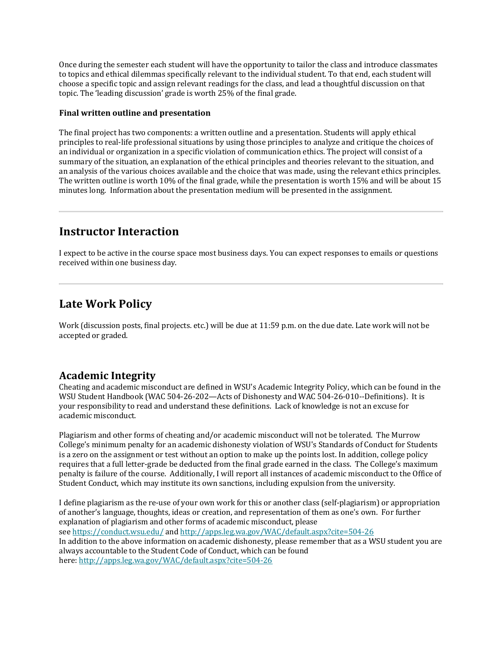Once during the semester each student will have the opportunity to tailor the class and introduce classmates to topics and ethical dilemmas specifically relevant to the individual student. To that end, each student will choose a specific topic and assign relevant readings for the class, and lead a thoughtful discussion on that topic. The 'leading discussion' grade is worth 25% of the final grade.

#### **Final written outline and presentation**

The final project has two components: a written outline and a presentation. Students will apply ethical principles to real-life professional situations by using those principles to analyze and critique the choices of an individual or organization in a specific violation of communication ethics. The project will consist of a summary of the situation, an explanation of the ethical principles and theories relevant to the situation, and an analysis of the various choices available and the choice that was made, using the relevant ethics principles. The written outline is worth 10% of the final grade, while the presentation is worth 15% and will be about 15 minutes long. Information about the presentation medium will be presented in the assignment.

#### **Instructor Interaction**

I expect to be active in the course space most business days. You can expect responses to emails or questions received within one business day.

### **Late Work Policy**

Work (discussion posts, final projects. etc.) will be due at 11:59 p.m. on the due date. Late work will not be accepted or graded.

#### **Academic Integrity**

Cheating and academic misconduct are defined in WSU's Academic Integrity Policy, which can be found in the WSU Student Handbook (WAC 504-26-202—Acts of Dishonesty and WAC 504-26-010--Definitions). It is your responsibility to read and understand these definitions. Lack of knowledge is not an excuse for academic misconduct.

Plagiarism and other forms of cheating and/or academic misconduct will not be tolerated. The Murrow College's minimum penalty for an academic dishonesty violation of WSU's Standards of Conduct for Students is a zero on the assignment or test without an option to make up the points lost. In addition, college policy requires that a full letter-grade be deducted from the final grade earned in the class. The College's maximum penalty is failure of the course. Additionally, I will report all instances of academic misconduct to the Office of Student Conduct, which may institute its own sanctions, including expulsion from the university.

I define plagiarism as the re-use of your own work for this or another class (self-plagiarism) or appropriation of another's language, thoughts, ideas or creation, and representation of them as one's own. For further explanation of plagiarism and other forms of academic misconduct, please see https://conduct.wsu.edu/ and http://apps.leg.wa.gov/WAC/default.aspx?cite=504-26 In addition to the above information on academic dishonesty, please remember that as a WSU student you are always accountable to the Student Code of Conduct, which can be found here: http://apps.leg.wa.gov/WAC/default.aspx?cite=504-26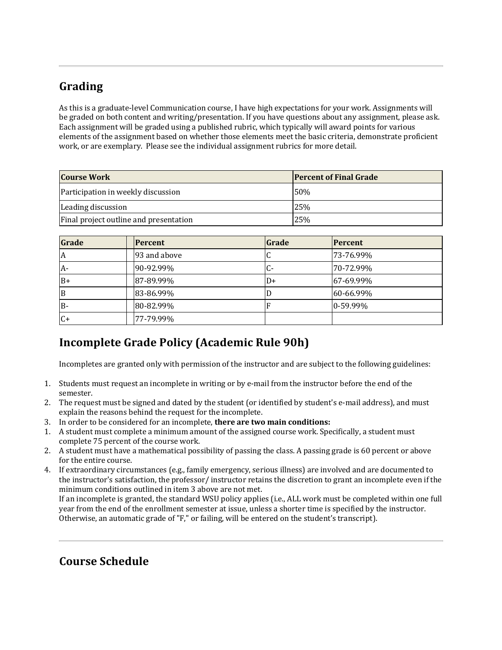# **Grading**

As this is a graduate-level Communication course, I have high expectations for your work. Assignments will be graded on both content and writing/presentation. If you have questions about any assignment, please ask. Each assignment will be graded using a published rubric, which typically will award points for various elements of the assignment based on whether those elements meet the basic criteria, demonstrate proficient work, or are exemplary. Please see the individual assignment rubrics for more detail.

| <b>Course Work</b>                     | <b>Percent of Final Grade</b> |  |
|----------------------------------------|-------------------------------|--|
| Participation in weekly discussion     | 50%                           |  |
| Leading discussion                     | 25%                           |  |
| Final project outline and presentation | 25%                           |  |

| Grade | <b>Percent</b> | Grade                  | <b>Percent</b> |
|-------|----------------|------------------------|----------------|
| A     | 93 and above   |                        | 73-76.99%      |
| $A-$  | 90-92.99%      | $\mathbf{G}^{\bullet}$ | 70-72.99%      |
| $B+$  | 87-89.99%      | D+                     | 67-69.99%      |
| B     | 83-86.99%      |                        | 60-66.99%      |
| B-    | 80-82.99%      |                        | 0-59.99%       |
| $C+$  | 77-79.99%      |                        |                |

# **Incomplete Grade Policy (Academic Rule 90h)**

Incompletes are granted only with permission of the instructor and are subject to the following guidelines:

- 1. Students must request an incomplete in writing or by e-mail from the instructor before the end of the semester.
- 2. The request must be signed and dated by the student (or identified by student's e-mail address), and must explain the reasons behind the request for the incomplete.
- 3. In order to be considered for an incomplete, **there are two main conditions:**
- 1. A student must complete a minimum amount of the assigned course work. Specifically, a student must complete 75 percent of the course work.
- 2. A student must have a mathematical possibility of passing the class. A passing grade is 60 percent or above for the entire course.
- 4. If extraordinary circumstances (e.g., family emergency, serious illness) are involved and are documented to the instructor's satisfaction, the professor/ instructor retains the discretion to grant an incomplete even if the minimum conditions outlined in item 3 above are not met.

If an incomplete is granted, the standard WSU policy applies (i.e., ALL work must be completed within one full year from the end of the enrollment semester at issue, unless a shorter time is specified by the instructor. Otherwise, an automatic grade of "F," or failing, will be entered on the student's transcript).

# **Course Schedule**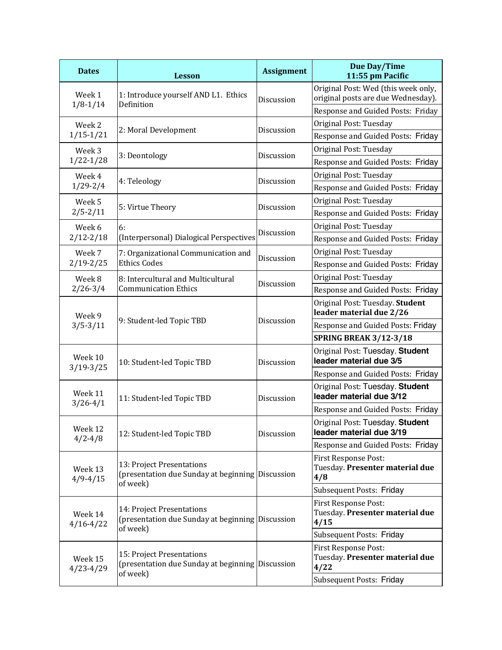| <b>Dates</b>             | <b>Lesson</b>                                                                             | <b>Assignment</b> | <b>Due Day/Time</b><br>11:55 pm Pacific                                   |
|--------------------------|-------------------------------------------------------------------------------------------|-------------------|---------------------------------------------------------------------------|
| Week 1<br>$1/8 - 1/14$   | 1: Introduce yourself AND L1. Ethics<br>Definition                                        | Discussion        | Original Post: Wed (this week only,<br>original posts are due Wednesday). |
|                          |                                                                                           |                   | Response and Guided Posts: Friday                                         |
| Week 2                   |                                                                                           | Discussion        | Original Post: Tuesday                                                    |
| $1/15-1/21$              | 2: Moral Development                                                                      |                   | Response and Guided Posts: Friday                                         |
| Week 3<br>$1/22 - 1/28$  | 3: Deontology                                                                             | Discussion        | Original Post: Tuesday                                                    |
|                          |                                                                                           |                   | Response and Guided Posts: Friday                                         |
| Week 4<br>$1/29 - 2/4$   | 4: Teleology                                                                              | Discussion        | Original Post: Tuesday                                                    |
|                          |                                                                                           |                   | Response and Guided Posts: Friday                                         |
| Week 5                   | 5: Virtue Theory                                                                          | Discussion        | Original Post: Tuesday                                                    |
| $2/5 - 2/11$             |                                                                                           |                   | Response and Guided Posts: Friday                                         |
| Week 6                   | 6:                                                                                        | Discussion        | Original Post: Tuesday                                                    |
| $2/12 - 2/18$            | (Interpersonal) Dialogical Perspectives                                                   |                   | Response and Guided Posts: Friday                                         |
| Week 7                   | 7: Organizational Communication and<br><b>Ethics Codes</b>                                | Discussion        | Original Post: Tuesday                                                    |
| $2/19 - 2/25$            |                                                                                           |                   | Response and Guided Posts: Friday                                         |
| Week 8                   | 8: Intercultural and Multicultural                                                        | Discussion        | Original Post: Tuesday                                                    |
| $2/26 - 3/4$             | <b>Communication Ethics</b>                                                               |                   | Response and Guided Posts: Friday                                         |
| Week 9<br>$3/5 - 3/11$   | 9: Student-led Topic TBD                                                                  | Discussion        | Original Post: Tuesday. Student<br>leader material due 2/26               |
|                          |                                                                                           |                   | Response and Guided Posts: Friday                                         |
|                          |                                                                                           |                   | <b>SPRING BREAK 3/12-3/18</b>                                             |
| Week 10<br>$3/19 - 3/25$ | 10: Student-led Topic TBD                                                                 | Discussion        | Original Post: Tuesday. Student<br>leader material due 3/5                |
|                          |                                                                                           |                   | Response and Guided Posts: Friday                                         |
| Week 11<br>$3/26 - 4/1$  | 11: Student-led Topic TBD                                                                 | Discussion        | Original Post: Tuesday. Student<br>leader material due 3/12               |
|                          |                                                                                           |                   | Response and Guided Posts: Friday                                         |
| Week 12<br>$4/2 - 4/8$   | 12: Student-led Topic TBD                                                                 | Discussion        | Original Post: Tuesday. Student<br>leader material due 3/19               |
|                          |                                                                                           |                   | Response and Guided Posts: Friday                                         |
| Week 13<br>$4/9 - 4/15$  | 13: Project Presentations<br>(presentation due Sunday at beginning Discussion<br>of week) |                   | <b>First Response Post:</b><br>Tuesday. Presenter material due<br>4/8     |
|                          |                                                                                           |                   | <b>Subsequent Posts: Friday</b>                                           |
| Week 14<br>$4/16 - 4/22$ | 14: Project Presentations<br>(presentation due Sunday at beginning Discussion<br>of week) |                   | <b>First Response Post:</b><br>Tuesday. Presenter material due<br>4/15    |
|                          |                                                                                           |                   | <b>Subsequent Posts: Friday</b>                                           |
| Week 15<br>$4/23 - 4/29$ | 15: Project Presentations<br>(presentation due Sunday at beginning Discussion<br>of week) |                   | <b>First Response Post:</b><br>Tuesday. Presenter material due<br>4/22    |
|                          |                                                                                           |                   | <b>Subsequent Posts: Friday</b>                                           |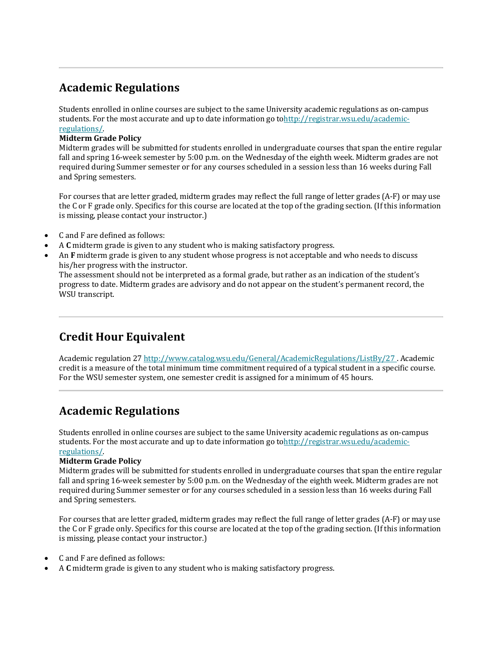# **Academic Regulations**

Students enrolled in online courses are subject to the same University academic regulations as on-campus students. For the most accurate and up to date information go tohttp://registrar.wsu.edu/academicregulations/.

#### **Midterm Grade Policy**

Midterm grades will be submitted for students enrolled in undergraduate courses that span the entire regular fall and spring 16-week semester by 5:00 p.m. on the Wednesday of the eighth week. Midterm grades are not required during Summer semester or for any courses scheduled in a session less than 16 weeks during Fall and Spring semesters.

For courses that are letter graded, midterm grades may reflect the full range of letter grades (A-F) or may use the C or F grade only. Specifics for this course are located at the top of the grading section. (If this information is missing, please contact your instructor.)

- C and F are defined as follows:
- A **C** midterm grade is given to any student who is making satisfactory progress.
- An F midterm grade is given to any student whose progress is not acceptable and who needs to discuss his/her progress with the instructor.

The assessment should not be interpreted as a formal grade, but rather as an indication of the student's progress to date. Midterm grades are advisory and do not appear on the student's permanent record, the WSU transcript.

# **Credit Hour Equivalent**

Academic regulation 27 http://www.catalog.wsu.edu/General/AcademicRegulations/ListBy/27 . Academic credit is a measure of the total minimum time commitment required of a typical student in a specific course. For the WSU semester system, one semester credit is assigned for a minimum of 45 hours.

### **Academic Regulations**

Students enrolled in online courses are subject to the same University academic regulations as on-campus students. For the most accurate and up to date information go tohttp://registrar.wsu.edu/academicregulations/.

#### **Midterm Grade Policy**

Midterm grades will be submitted for students enrolled in undergraduate courses that span the entire regular fall and spring 16-week semester by 5:00 p.m. on the Wednesday of the eighth week. Midterm grades are not required during Summer semester or for any courses scheduled in a session less than 16 weeks during Fall and Spring semesters.

For courses that are letter graded, midterm grades may reflect the full range of letter grades (A-F) or may use the C or F grade only. Specifics for this course are located at the top of the grading section. (If this information is missing, please contact your instructor.)

- C and F are defined as follows:
- A C midterm grade is given to any student who is making satisfactory progress.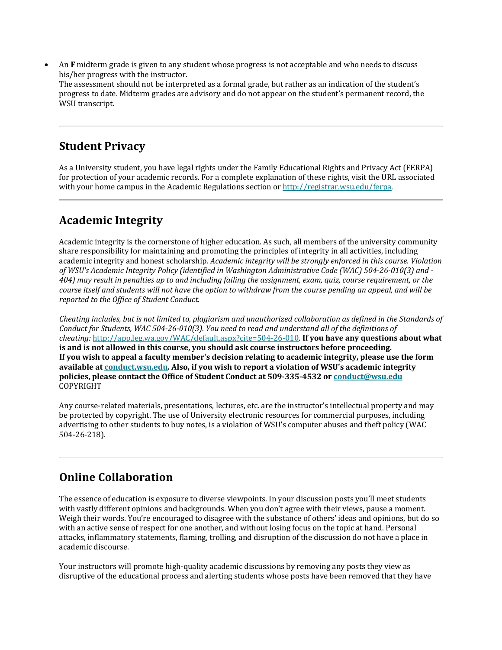An **F** midterm grade is given to any student whose progress is not acceptable and who needs to discuss his/her progress with the instructor.

The assessment should not be interpreted as a formal grade, but rather as an indication of the student's progress to date. Midterm grades are advisory and do not appear on the student's permanent record, the WSU transcript.

#### **Student Privacy**

As a University student, you have legal rights under the Family Educational Rights and Privacy Act (FERPA) for protection of your academic records. For a complete explanation of these rights, visit the URL associated with your home campus in the Academic Regulations section or http://registrar.wsu.edu/ferpa.

# **Academic Integrity**

Academic integrity is the cornerstone of higher education. As such, all members of the university community share responsibility for maintaining and promoting the principles of integrity in all activities, including academic integrity and honest scholarship. *Academic integrity will be strongly enforced in this course. Violation of WSU's Academic Integrity Policy (identified in Washington Administrative Code (WAC) 504-26-010(3) and - 404)* may result in penalties up to and including failing the assignment, exam, quiz, course requirement, or the *course itself and students will not have the option to withdraw from the course pending an appeal, and will be reported to the Office of Student Conduct.* 

*Cheating includes, but is not limited to, plagiarism and unauthorized collaboration as defined in the Standards of* Conduct for Students, WAC 504-26-010(3). You need to read and understand all of the definitions of *cheating:* http://app.leg.wa.gov/WAC/default.aspx?cite=504-26-010. If you have any questions about what is and is not allowed in this course, you should ask course instructors before proceeding. If you wish to appeal a faculty member's decision relating to academic integrity, please use the form available at conduct.wsu.edu. Also, if you wish to report a violation of WSU's academic integrity **policies, please contact the Office of Student Conduct at 509-335-4532 or conduct@wsu.edu** COPYRIGHT

Any course-related materials, presentations, lectures, etc. are the instructor's intellectual property and may be protected by copyright. The use of University electronic resources for commercial purposes, including advertising to other students to buy notes, is a violation of WSU's computer abuses and theft policy (WAC 504-26-218).

# **Online Collaboration**

The essence of education is exposure to diverse viewpoints. In your discussion posts you'll meet students with vastly different opinions and backgrounds. When you don't agree with their views, pause a moment. Weigh their words. You're encouraged to disagree with the substance of others' ideas and opinions, but do so with an active sense of respect for one another, and without losing focus on the topic at hand. Personal attacks, inflammatory statements, flaming, trolling, and disruption of the discussion do not have a place in academic discourse.

Your instructors will promote high-quality academic discussions by removing any posts they view as disruptive of the educational process and alerting students whose posts have been removed that they have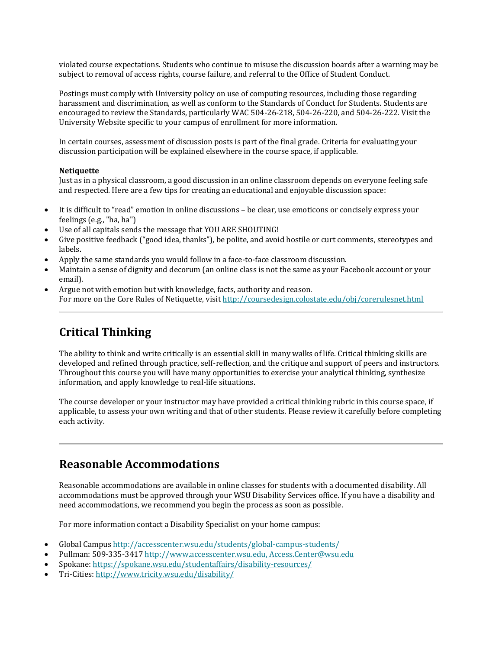violated course expectations. Students who continue to misuse the discussion boards after a warning may be subject to removal of access rights, course failure, and referral to the Office of Student Conduct.

Postings must comply with University policy on use of computing resources, including those regarding harassment and discrimination, as well as conform to the Standards of Conduct for Students. Students are encouraged to review the Standards, particularly WAC 504-26-218, 504-26-220, and 504-26-222. Visit the University Website specific to your campus of enrollment for more information.

In certain courses, assessment of discussion posts is part of the final grade. Criteria for evaluating your discussion participation will be explained elsewhere in the course space, if applicable.

#### **Netiquette**

Just as in a physical classroom, a good discussion in an online classroom depends on everyone feeling safe and respected. Here are a few tips for creating an educational and enjoyable discussion space:

- It is difficult to "read" emotion in online discussions be clear, use emoticons or concisely express your feelings (e.g., "ha, ha")
- Use of all capitals sends the message that YOU ARE SHOUTING!
- Give positive feedback ("good idea, thanks"), be polite, and avoid hostile or curt comments, stereotypes and labels.
- Apply the same standards you would follow in a face-to-face classroom discussion.
- Maintain a sense of dignity and decorum (an online class is not the same as your Facebook account or your email).
- Argue not with emotion but with knowledge, facts, authority and reason. For more on the Core Rules of Netiquette, visit http://coursedesign.colostate.edu/obj/corerulesnet.html

### **Critical Thinking**

The ability to think and write critically is an essential skill in many walks of life. Critical thinking skills are developed and refined through practice, self-reflection, and the critique and support of peers and instructors. Throughout this course you will have many opportunities to exercise your analytical thinking, synthesize information, and apply knowledge to real-life situations.

The course developer or your instructor may have provided a critical thinking rubric in this course space, if applicable, to assess your own writing and that of other students. Please review it carefully before completing each activity.

### **Reasonable Accommodations**

Reasonable accommodations are available in online classes for students with a documented disability. All accommodations must be approved through your WSU Disability Services office. If you have a disability and need accommodations, we recommend you begin the process as soon as possible.

For more information contact a Disability Specialist on your home campus:

- Global Campus http://accesscenter.wsu.edu/students/global-campus-students/
- Pullman: 509-335-3417 http://www.accesscenter.wsu.edu, Access.Center@wsu.edu
- Spokane: https://spokane.wsu.edu/studentaffairs/disability-resources/
- Tri-Cities: http://www.tricity.wsu.edu/disability/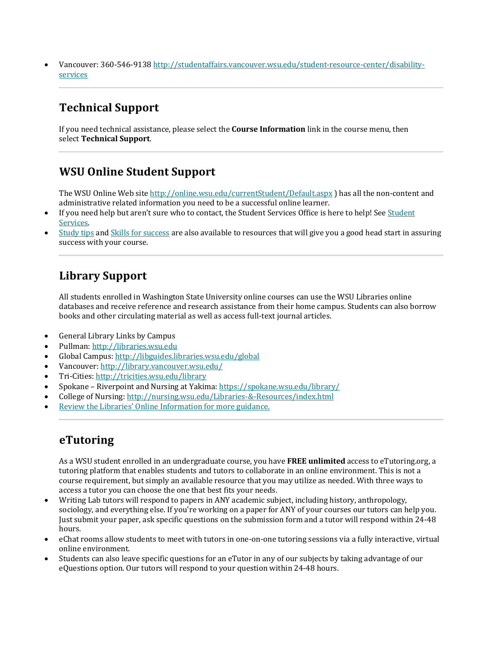Vancouver: 360-546-9138 http://studentaffairs.vancouver.wsu.edu/student-resource-center/disabilityservices

# **Technical Support**

If you need technical assistance, please select the **Course Information** link in the course menu, then select **Technical Support**.

### **WSU Online Student Support**

The WSU Online Web site http://online.wsu.edu/currentStudent/Default.aspx ) has all the non-content and administrative related information you need to be a successful online learner.

- If you need help but aren't sure who to contact, the Student Services Office is here to help! See Student Services.
- Study tips and Skills for success are also available to resources that will give you a good head start in assuring success with your course.

#### **Library Support**

All students enrolled in Washington State University online courses can use the WSU Libraries online databases and receive reference and research assistance from their home campus. Students can also borrow books and other circulating material as well as access full-text journal articles.

- General Library Links by Campus
- Pullman: http://libraries.wsu.edu
- Global Campus: http://libguides.libraries.wsu.edu/global
- Vancouver: http://library.vancouver.wsu.edu/
- Tri-Cities: http://tricities.wsu.edu/library
- Spokane Riverpoint and Nursing at Yakima: https://spokane.wsu.edu/library/
- College of Nursing: http://nursing.wsu.edu/Libraries-&-Resources/index.html
- Review the Libraries' Online Information for more guidance.

### **eTutoring**

As a WSU student enrolled in an undergraduate course, you have **FREE unlimited** access to eTutoring.org, a tutoring platform that enables students and tutors to collaborate in an online environment. This is not a course requirement, but simply an available resource that you may utilize as needed. With three ways to access a tutor you can choose the one that best fits your needs.

- Writing Lab tutors will respond to papers in ANY academic subject, including history, anthropology, sociology, and everything else. If you're working on a paper for ANY of your courses our tutors can help you. Just submit your paper, ask specific questions on the submission form and a tutor will respond within 24-48 hours.
- eChat rooms allow students to meet with tutors in one-on-one tutoring sessions via a fully interactive, virtual online environment.
- Students can also leave specific questions for an eTutor in any of our subjects by taking advantage of our eQuestions option. Our tutors will respond to your question within 24-48 hours.